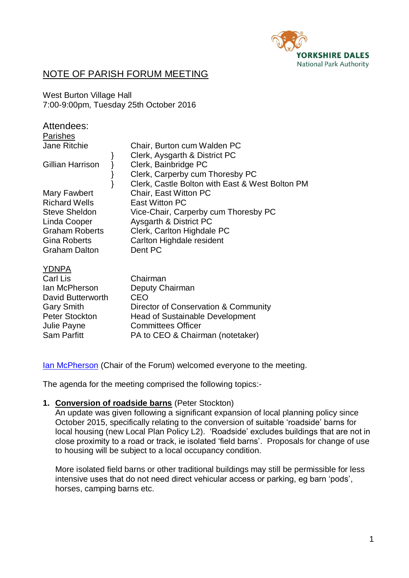

# NOTE OF PARISH FORUM MEETING

West Burton Village Hall 7:00-9:00pm, Tuesday 25th October 2016

| Attendees:<br><b>Parishes</b>                                                                                                                        |                                                                                                                                                                                 |
|------------------------------------------------------------------------------------------------------------------------------------------------------|---------------------------------------------------------------------------------------------------------------------------------------------------------------------------------|
| <b>Jane Ritchie</b>                                                                                                                                  | Chair, Burton cum Walden PC                                                                                                                                                     |
| Gillian Harrison                                                                                                                                     | Clerk, Aysgarth & District PC<br>Clerk, Bainbridge PC<br>Clerk, Carperby cum Thoresby PC<br>Clerk, Castle Bolton with East & West Bolton PM                                     |
| Mary Fawbert<br><b>Richard Wells</b><br><b>Steve Sheldon</b><br>Linda Cooper<br><b>Graham Roberts</b><br><b>Gina Roberts</b><br><b>Graham Dalton</b> | Chair, East Witton PC<br>East Witton PC<br>Vice-Chair, Carperby cum Thoresby PC<br>Aysgarth & District PC<br>Clerk, Carlton Highdale PC<br>Carlton Highdale resident<br>Dent PC |
| <b>YDNPA</b><br>Carl Lis<br>lan McPherson<br>David Butterworth<br><b>Gary Smith</b><br><b>Peter Stockton</b>                                         | Chairman<br>Deputy Chairman<br><b>CEO</b><br>Director of Conservation & Community<br><b>Head of Sustainable Development</b>                                                     |

[Ian McPherson](http://www.yorkshiredales.org.uk/ydnpa/our-people/members/meet-the-members/ian-mcpherson) (Chair of the Forum) welcomed everyone to the meeting.

PA to CEO & Chairman (notetaker)

The agenda for the meeting comprised the following topics:-

## **1. Conversion of roadside barns** (Peter Stockton)

Julie Payne Committees Officer<br>
Sam Parfitt Bato CFO & Chairr

An update was given following a significant expansion of local planning policy since October 2015, specifically relating to the conversion of suitable 'roadside' barns for local housing (new Local Plan Policy L2). 'Roadside' excludes buildings that are not in close proximity to a road or track, ie isolated 'field barns'. Proposals for change of use to housing will be subject to a local occupancy condition.

More isolated field barns or other traditional buildings may still be permissible for less intensive uses that do not need direct vehicular access or parking, eg barn 'pods', horses, camping barns etc.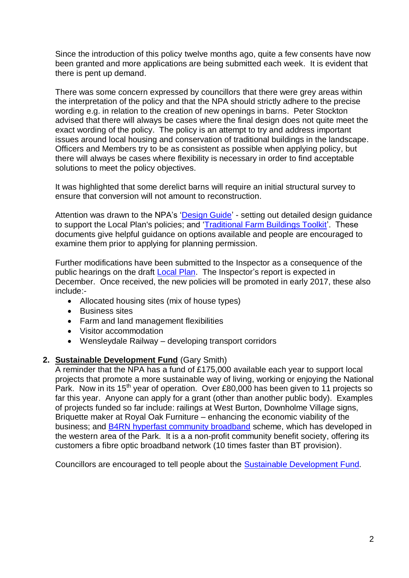Since the introduction of this policy twelve months ago, quite a few consents have now been granted and more applications are being submitted each week. It is evident that there is pent up demand.

There was some concern expressed by councillors that there were grey areas within the interpretation of the policy and that the NPA should strictly adhere to the precise wording e.g. in relation to the creation of new openings in barns. Peter Stockton advised that there will always be cases where the final design does not quite meet the exact wording of the policy. The policy is an attempt to try and address important issues around local housing and conservation of traditional buildings in the landscape. Officers and Members try to be as consistent as possible when applying policy, but there will always be cases where flexibility is necessary in order to find acceptable solutions to meet the policy objectives.

It was highlighted that some derelict barns will require an initial structural survey to ensure that conversion will not amount to reconstruction.

Attention was drawn to the NPA's ['Design Guide'](http://www.yorkshiredales.org.uk/__data/assets/pdf_file/0003/700923/FINALDesign-Guide-Submission-Version.pdf) - setting out detailed design guidance to support the Local Plan's policies; and ['Traditional Farm Buildings Toolkit'](http://www.yorkshiredales.org.uk/living-and-working/planning-policy-section/future-planning-policy-reviews/draft-local-plan-consultation/ydnp-traditional-farm-buildings-toolkit.pdf). These documents give helpful guidance on options available and people are encouraged to examine them prior to applying for planning permission.

Further modifications have been submitted to the Inspector as a consequence of the public hearings on the draft [Local Plan.](http://www.yorkshiredales.org.uk/living-and-working/planning-policy-section/future-planning-policy-reviews/draft-local-plan-consultation/ydnp-local-plan-draft-june2014.pdf) The Inspector's report is expected in December. Once received, the new policies will be promoted in early 2017, these also include:-

- Allocated housing sites (mix of house types)
- Business sites
- Farm and land management flexibilities
- Visitor accommodation
- Wensleydale Railway developing transport corridors

## **2. Sustainable Development Fund** (Gary Smith)

A reminder that the NPA has a fund of £175,000 available each year to support local projects that promote a more sustainable way of living, working or enjoying the National Park. Now in its 15<sup>th</sup> year of operation. Over £80,000 has been given to 11 projects so far this year. Anyone can apply for a grant (other than another public body). Examples of projects funded so far include: railings at West Burton, Downholme Village signs, Briquette maker at Royal Oak Furniture – enhancing the economic viability of the business; and [B4RN hyperfast community broadband](http://b4rn.org.uk/) scheme, which has developed in the western area of the Park. It is a a non-profit community benefit society, offering its customers a fibre optic broadband network (10 times faster than BT provision).

Councillors are encouraged to tell people about the [Sustainable Development Fund.](http://www.yorkshiredales.org.uk/living-and-working/sdf)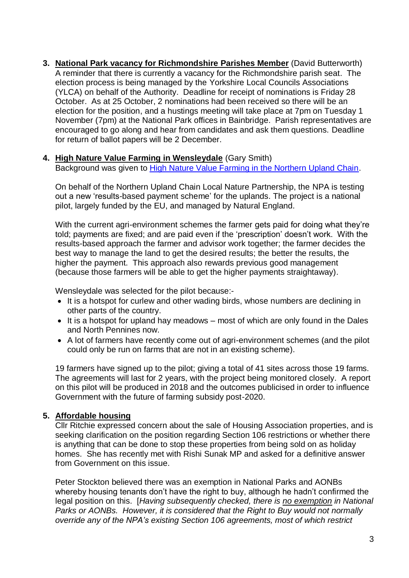**3. National Park vacancy for Richmondshire Parishes Member** (David Butterworth) A reminder that there is currently a vacancy for the Richmondshire parish seat. The election process is being managed by the Yorkshire Local Councils Associations (YLCA) on behalf of the Authority. Deadline for receipt of nominations is Friday 28 October. As at 25 October, 2 nominations had been received so there will be an election for the position, and a hustings meeting will take place at 7pm on Tuesday 1 November (7pm) at the National Park offices in Bainbridge. Parish representatives are encouraged to go along and hear from candidates and ask them questions. Deadline for return of ballot papers will be 2 December.

## **4. High Nature Value Farming in Wensleydale** (Gary Smith)

Background was given to **High Nature Value Farming in the Northern Upland Chain**.

On behalf of the Northern Upland Chain Local Nature Partnership, the NPA is testing out a new 'results-based payment scheme' for the uplands. The project is a national pilot, largely funded by the EU, and managed by Natural England.

With the current agri-environment schemes the farmer gets paid for doing what they're told; payments are fixed; and are paid even if the 'prescription' doesn't work. With the results-based approach the farmer and advisor work together; the farmer decides the best way to manage the land to get the desired results; the better the results, the higher the payment. This approach also rewards previous good management (because those farmers will be able to get the higher payments straightaway).

Wensleydale was selected for the pilot because:-

- It is a hotspot for curlew and other wading birds, whose numbers are declining in other parts of the country.
- $\bullet$  It is a hotspot for upland hay meadows most of which are only found in the Dales and North Pennines now.
- A lot of farmers have recently come out of agri-environment schemes (and the pilot could only be run on farms that are not in an existing scheme).

19 farmers have signed up to the pilot; giving a total of 41 sites across those 19 farms. The agreements will last for 2 years, with the project being monitored closely. A report on this pilot will be produced in 2018 and the outcomes publicised in order to influence Government with the future of farming subsidy post-2020.

## **5. Affordable housing**

Cllr Ritchie expressed concern about the sale of Housing Association properties, and is seeking clarification on the position regarding Section 106 restrictions or whether there is anything that can be done to stop these properties from being sold on as holiday homes. She has recently met with Rishi Sunak MP and asked for a definitive answer from Government on this issue.

Peter Stockton believed there was an exemption in National Parks and AONBs whereby housing tenants don't have the right to buy, although he hadn't confirmed the legal position on this. [*Having subsequently checked, there is no exemption in National Parks or AONBs. However, it is considered that the Right to Buy would not normally override any of the NPA's existing Section 106 agreements, most of which restrict*